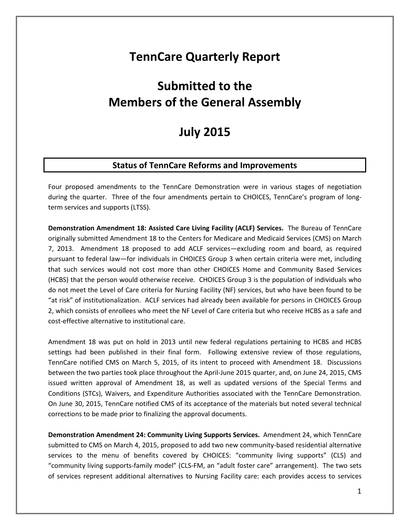## **TennCare Quarterly Report**

# **Submitted to the Members of the General Assembly**

## **July 2015**

## **Status of TennCare Reforms and Improvements**

Four proposed amendments to the TennCare Demonstration were in various stages of negotiation during the quarter. Three of the four amendments pertain to CHOICES, TennCare's program of longterm services and supports (LTSS).

**Demonstration Amendment 18: Assisted Care Living Facility (ACLF) Services.** The Bureau of TennCare originally submitted Amendment 18 to the Centers for Medicare and Medicaid Services (CMS) on March 7, 2013. Amendment 18 proposed to add ACLF services—excluding room and board, as required pursuant to federal law—for individuals in CHOICES Group 3 when certain criteria were met, including that such services would not cost more than other CHOICES Home and Community Based Services (HCBS) that the person would otherwise receive. CHOICES Group 3 is the population of individuals who do not meet the Level of Care criteria for Nursing Facility (NF) services, but who have been found to be "at risk" of institutionalization. ACLF services had already been available for persons in CHOICES Group 2, which consists of enrollees who meet the NF Level of Care criteria but who receive HCBS as a safe and cost-effective alternative to institutional care.

Amendment 18 was put on hold in 2013 until new federal regulations pertaining to HCBS and HCBS settings had been published in their final form. Following extensive review of those regulations, TennCare notified CMS on March 5, 2015, of its intent to proceed with Amendment 18. Discussions between the two parties took place throughout the April-June 2015 quarter, and, on June 24, 2015, CMS issued written approval of Amendment 18, as well as updated versions of the Special Terms and Conditions (STCs), Waivers, and Expenditure Authorities associated with the TennCare Demonstration. On June 30, 2015, TennCare notified CMS of its acceptance of the materials but noted several technical corrections to be made prior to finalizing the approval documents.

**Demonstration Amendment 24: Community Living Supports Services.** Amendment 24, which TennCare submitted to CMS on March 4, 2015, proposed to add two new community-based residential alternative services to the menu of benefits covered by CHOICES: "community living supports" (CLS) and "community living supports-family model" (CLS-FM, an "adult foster care" arrangement). The two sets of services represent additional alternatives to Nursing Facility care: each provides access to services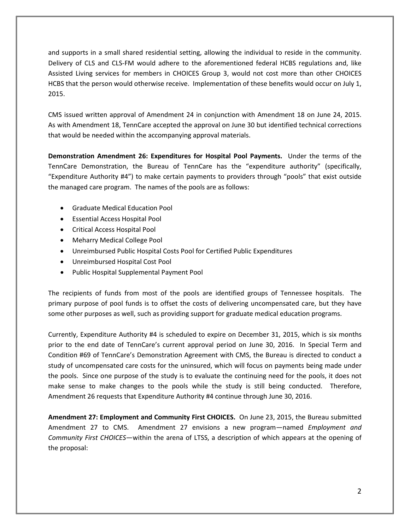and supports in a small shared residential setting, allowing the individual to reside in the community. Delivery of CLS and CLS-FM would adhere to the aforementioned federal HCBS regulations and, like Assisted Living services for members in CHOICES Group 3, would not cost more than other CHOICES HCBS that the person would otherwise receive. Implementation of these benefits would occur on July 1, 2015.

CMS issued written approval of Amendment 24 in conjunction with Amendment 18 on June 24, 2015. As with Amendment 18, TennCare accepted the approval on June 30 but identified technical corrections that would be needed within the accompanying approval materials.

**Demonstration Amendment 26: Expenditures for Hospital Pool Payments.** Under the terms of the TennCare Demonstration, the Bureau of TennCare has the "expenditure authority" (specifically, "Expenditure Authority #4") to make certain payments to providers through "pools" that exist outside the managed care program. The names of the pools are as follows:

- Graduate Medical Education Pool
- Essential Access Hospital Pool
- Critical Access Hospital Pool
- Meharry Medical College Pool
- Unreimbursed Public Hospital Costs Pool for Certified Public Expenditures
- Unreimbursed Hospital Cost Pool
- Public Hospital Supplemental Payment Pool

The recipients of funds from most of the pools are identified groups of Tennessee hospitals. The primary purpose of pool funds is to offset the costs of delivering uncompensated care, but they have some other purposes as well, such as providing support for graduate medical education programs.

Currently, Expenditure Authority #4 is scheduled to expire on December 31, 2015, which is six months prior to the end date of TennCare's current approval period on June 30, 2016. In Special Term and Condition #69 of TennCare's Demonstration Agreement with CMS, the Bureau is directed to conduct a study of uncompensated care costs for the uninsured, which will focus on payments being made under the pools. Since one purpose of the study is to evaluate the continuing need for the pools, it does not make sense to make changes to the pools while the study is still being conducted. Therefore, Amendment 26 requests that Expenditure Authority #4 continue through June 30, 2016.

**Amendment 27: Employment and Community First CHOICES.** On June 23, 2015, the Bureau submitted Amendment 27 to CMS. Amendment 27 envisions a new program—named *Employment and Community First CHOICES*—within the arena of LTSS, a description of which appears at the opening of the proposal: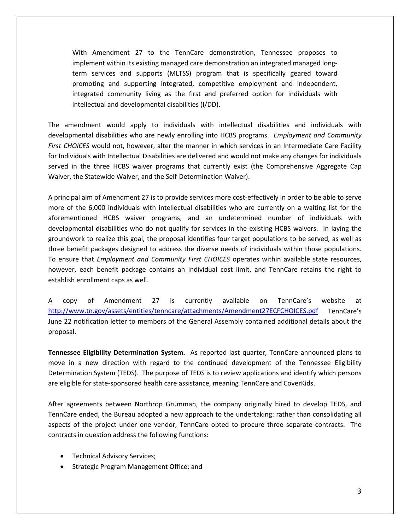With Amendment 27 to the TennCare demonstration, Tennessee proposes to implement within its existing managed care demonstration an integrated managed longterm services and supports (MLTSS) program that is specifically geared toward promoting and supporting integrated, competitive employment and independent, integrated community living as the first and preferred option for individuals with intellectual and developmental disabilities (I/DD).

The amendment would apply to individuals with intellectual disabilities and individuals with developmental disabilities who are newly enrolling into HCBS programs. *Employment and Community First CHOICES* would not, however, alter the manner in which services in an Intermediate Care Facility for Individuals with Intellectual Disabilities are delivered and would not make any changes for individuals served in the three HCBS waiver programs that currently exist (the Comprehensive Aggregate Cap Waiver, the Statewide Waiver, and the Self-Determination Waiver).

A principal aim of Amendment 27 is to provide services more cost-effectively in order to be able to serve more of the 6,000 individuals with intellectual disabilities who are currently on a waiting list for the aforementioned HCBS waiver programs, and an undetermined number of individuals with developmental disabilities who do not qualify for services in the existing HCBS waivers. In laying the groundwork to realize this goal, the proposal identifies four target populations to be served, as well as three benefit packages designed to address the diverse needs of individuals within those populations. To ensure that *Employment and Community First CHOICES* operates within available state resources, however, each benefit package contains an individual cost limit, and TennCare retains the right to establish enrollment caps as well.

A copy of Amendment 27 is currently available on TennCare's website at [http://www.tn.gov/assets/entities/tenncare/attachments/Amendment27ECFCHOICES.pdf.](http://www.tn.gov/assets/entities/tenncare/attachments/Amendment27ECFCHOICES.pdf) TennCare's June 22 notification letter to members of the General Assembly contained additional details about the proposal.

**Tennessee Eligibility Determination System.** As reported last quarter, TennCare announced plans to move in a new direction with regard to the continued development of the Tennessee Eligibility Determination System (TEDS). The purpose of TEDS is to review applications and identify which persons are eligible for state-sponsored health care assistance, meaning TennCare and CoverKids.

After agreements between Northrop Grumman, the company originally hired to develop TEDS, and TennCare ended, the Bureau adopted a new approach to the undertaking: rather than consolidating all aspects of the project under one vendor, TennCare opted to procure three separate contracts. The contracts in question address the following functions:

- Technical Advisory Services;
- Strategic Program Management Office; and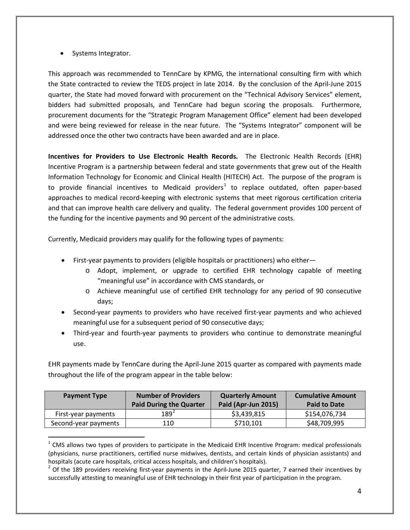• Systems Integrator.

 $\overline{a}$ 

This approach was recommended to TennCare by KPMG, the international consulting firm with which the State contracted to review the TEDS project in late 2014. By the conclusion of the April-June 2015 quarter, the State had moved forward with procurement on the "Technical Advisory Services" element, bidders had submitted proposals, and TennCare had begun scoring the proposals. Furthermore, procurement documents for the "Strategic Program Management Office" element had been developed and were being reviewed for release in the near future. The "Systems Integrator" component will be addressed once the other two contracts have been awarded and are in place.

**Incentives for Providers to Use Electronic Health Records.** The Electronic Health Records (EHR) Incentive Program is a partnership between federal and state governments that grew out of the Health Information Technology for Economic and Clinical Health (HITECH) Act. The purpose of the program is to provide financial incentives to Medicaid providers<sup>[1](#page-3-0)</sup> to replace outdated, often paper-based approaches to medical record-keeping with electronic systems that meet rigorous certification criteria and that can improve health care delivery and quality. The federal government provides 100 percent of the funding for the incentive payments and 90 percent of the administrative costs.

Currently, Medicaid providers may qualify for the following types of payments:

- First-year payments to providers (eligible hospitals or practitioners) who either
	- o Adopt, implement, or upgrade to certified EHR technology capable of meeting "meaningful use" in accordance with CMS standards, or
	- o Achieve meaningful use of certified EHR technology for any period of 90 consecutive days;
- Second-year payments to providers who have received first-year payments and who achieved meaningful use for a subsequent period of 90 consecutive days;
- Third-year and fourth-year payments to providers who continue to demonstrate meaningful use.

EHR payments made by TennCare during the April-June 2015 quarter as compared with payments made throughout the life of the program appear in the table below:

| <b>Payment Type</b>  | <b>Number of Providers</b><br><b>Paid During the Quarter</b> | <b>Quarterly Amount</b><br>Paid (Apr-Jun 2015) | <b>Cumulative Amount</b><br><b>Paid to Date</b> |
|----------------------|--------------------------------------------------------------|------------------------------------------------|-------------------------------------------------|
| First-year payments  | $189^{2}$                                                    | \$3,439,815                                    | \$154,076,734                                   |
| Second-year payments | 110                                                          | \$710,101                                      | \$48,709,995                                    |

<span id="page-3-0"></span> $1$  CMS allows two types of providers to participate in the Medicaid EHR Incentive Program: medical professionals (physicians, nurse practitioners, certified nurse midwives, dentists, and certain kinds of physician assistants) and hospitals (acute care hospitals, critical access hospitals, and children's hospitals).<br><sup>2</sup> Of the 189 providers receiving first-year payments in the April-June 2015 quarter, 7 earned their incentives by

<span id="page-3-1"></span>successfully attesting to meaningful use of EHR technology in their first year of participation in the program.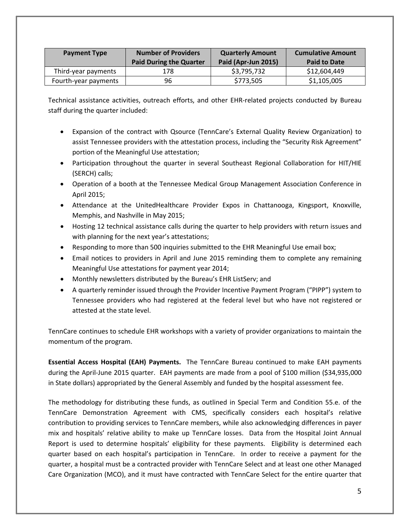| <b>Payment Type</b>  | <b>Number of Providers</b><br>Paid During the Quarter | <b>Quarterly Amount</b><br>Paid (Apr-Jun 2015) | <b>Cumulative Amount</b><br><b>Paid to Date</b> |
|----------------------|-------------------------------------------------------|------------------------------------------------|-------------------------------------------------|
| Third-year payments  | 178                                                   | \$3,795,732                                    | \$12,604,449                                    |
| Fourth-year payments | 96                                                    | \$773,505                                      | \$1,105,005                                     |

Technical assistance activities, outreach efforts, and other EHR-related projects conducted by Bureau staff during the quarter included:

- Expansion of the contract with Qsource (TennCare's External Quality Review Organization) to assist Tennessee providers with the attestation process, including the "Security Risk Agreement" portion of the Meaningful Use attestation;
- Participation throughout the quarter in several Southeast Regional Collaboration for HIT/HIE (SERCH) calls;
- Operation of a booth at the Tennessee Medical Group Management Association Conference in April 2015;
- Attendance at the UnitedHealthcare Provider Expos in Chattanooga, Kingsport, Knoxville, Memphis, and Nashville in May 2015;
- Hosting 12 technical assistance calls during the quarter to help providers with return issues and with planning for the next year's attestations;
- Responding to more than 500 inquiries submitted to the EHR Meaningful Use email box;
- Email notices to providers in April and June 2015 reminding them to complete any remaining Meaningful Use attestations for payment year 2014;
- Monthly newsletters distributed by the Bureau's EHR ListServ; and
- A quarterly reminder issued through the Provider Incentive Payment Program ("PIPP") system to Tennessee providers who had registered at the federal level but who have not registered or attested at the state level.

TennCare continues to schedule EHR workshops with a variety of provider organizations to maintain the momentum of the program.

**Essential Access Hospital (EAH) Payments.** The TennCare Bureau continued to make EAH payments during the April-June 2015 quarter. EAH payments are made from a pool of \$100 million (\$34,935,000 in State dollars) appropriated by the General Assembly and funded by the hospital assessment fee.

The methodology for distributing these funds, as outlined in Special Term and Condition 55.e. of the TennCare Demonstration Agreement with CMS, specifically considers each hospital's relative contribution to providing services to TennCare members, while also acknowledging differences in payer mix and hospitals' relative ability to make up TennCare losses. Data from the Hospital Joint Annual Report is used to determine hospitals' eligibility for these payments. Eligibility is determined each quarter based on each hospital's participation in TennCare. In order to receive a payment for the quarter, a hospital must be a contracted provider with TennCare Select and at least one other Managed Care Organization (MCO), and it must have contracted with TennCare Select for the entire quarter that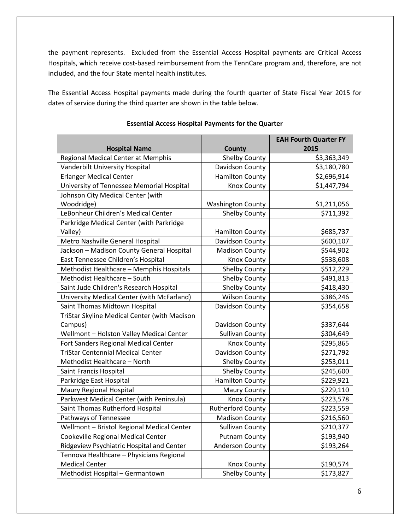the payment represents. Excluded from the Essential Access Hospital payments are Critical Access Hospitals, which receive cost-based reimbursement from the TennCare program and, therefore, are not included, and the four State mental health institutes.

The Essential Access Hospital payments made during the fourth quarter of State Fiscal Year 2015 for dates of service during the third quarter are shown in the table below.

|                                              |                          | <b>EAH Fourth Quarter FY</b> |
|----------------------------------------------|--------------------------|------------------------------|
| <b>Hospital Name</b>                         | County                   | 2015                         |
| Regional Medical Center at Memphis           | Shelby County            | \$3,363,349                  |
| Vanderbilt University Hospital               | Davidson County          | \$3,180,780                  |
| <b>Erlanger Medical Center</b>               | <b>Hamilton County</b>   | \$2,696,914                  |
| University of Tennessee Memorial Hospital    | <b>Knox County</b>       | \$1,447,794                  |
| Johnson City Medical Center (with            |                          |                              |
| Woodridge)                                   | <b>Washington County</b> | \$1,211,056                  |
| LeBonheur Children's Medical Center          | Shelby County            | \$711,392                    |
| Parkridge Medical Center (with Parkridge     |                          |                              |
| Valley)                                      | <b>Hamilton County</b>   | \$685,737                    |
| Metro Nashville General Hospital             | Davidson County          | \$600,107                    |
| Jackson - Madison County General Hospital    | <b>Madison County</b>    | \$544,902                    |
| East Tennessee Children's Hospital           | Knox County              | \$538,608                    |
| Methodist Healthcare - Memphis Hospitals     | <b>Shelby County</b>     | \$512,229                    |
| Methodist Healthcare - South                 | <b>Shelby County</b>     | \$491,813                    |
| Saint Jude Children's Research Hospital      | <b>Shelby County</b>     | \$418,430                    |
| University Medical Center (with McFarland)   | <b>Wilson County</b>     | \$386,246                    |
| Saint Thomas Midtown Hospital                | Davidson County          | \$354,658                    |
| TriStar Skyline Medical Center (with Madison |                          |                              |
| Campus)                                      | Davidson County          | \$337,644                    |
| Wellmont - Holston Valley Medical Center     | <b>Sullivan County</b>   | \$304,649                    |
| Fort Sanders Regional Medical Center         | <b>Knox County</b>       | \$295,865                    |
| <b>TriStar Centennial Medical Center</b>     | Davidson County          | \$271,792                    |
| Methodist Healthcare - North                 | <b>Shelby County</b>     | \$253,011                    |
| Saint Francis Hospital                       | <b>Shelby County</b>     | \$245,600                    |
| Parkridge East Hospital                      | <b>Hamilton County</b>   | \$229,921                    |
| <b>Maury Regional Hospital</b>               | <b>Maury County</b>      | \$229,110                    |
| Parkwest Medical Center (with Peninsula)     | <b>Knox County</b>       | \$223,578                    |
| Saint Thomas Rutherford Hospital             | <b>Rutherford County</b> | \$223,559                    |
| Pathways of Tennessee                        | <b>Madison County</b>    | \$216,560                    |
| Wellmont - Bristol Regional Medical Center   | <b>Sullivan County</b>   | \$210,377                    |
| Cookeville Regional Medical Center           | <b>Putnam County</b>     | \$193,940                    |
| Ridgeview Psychiatric Hospital and Center    | Anderson County          | \$193,264                    |
| Tennova Healthcare - Physicians Regional     |                          |                              |
| <b>Medical Center</b>                        | <b>Knox County</b>       | \$190,574                    |
| Methodist Hospital - Germantown              | Shelby County            | \$173,827                    |

#### **Essential Access Hospital Payments for the Quarter**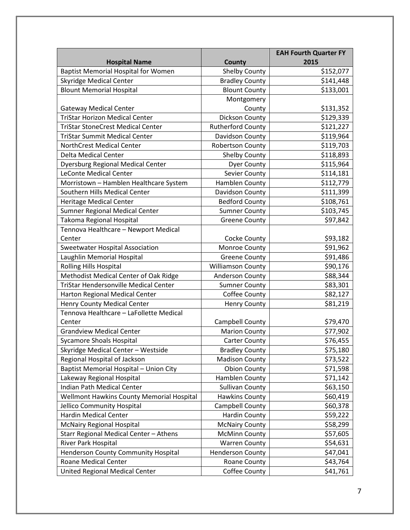|                                              |                          | <b>EAH Fourth Quarter FY</b> |
|----------------------------------------------|--------------------------|------------------------------|
| <b>Hospital Name</b>                         | County                   | 2015                         |
| <b>Baptist Memorial Hospital for Women</b>   | <b>Shelby County</b>     | \$152,077                    |
| <b>Skyridge Medical Center</b>               | <b>Bradley County</b>    | \$141,448                    |
| <b>Blount Memorial Hospital</b>              | <b>Blount County</b>     | \$133,001                    |
|                                              | Montgomery               |                              |
| <b>Gateway Medical Center</b>                | County                   | \$131,352                    |
| <b>TriStar Horizon Medical Center</b>        | Dickson County           | \$129,339                    |
| <b>TriStar StoneCrest Medical Center</b>     | <b>Rutherford County</b> | \$121,227                    |
| <b>TriStar Summit Medical Center</b>         | Davidson County          | \$119,964                    |
| NorthCrest Medical Center                    | Robertson County         | \$119,703                    |
| <b>Delta Medical Center</b>                  | <b>Shelby County</b>     | \$118,893                    |
| <b>Dyersburg Regional Medical Center</b>     | <b>Dyer County</b>       | \$115,964                    |
| <b>LeConte Medical Center</b>                | Sevier County            | \$114,181                    |
| Morristown - Hamblen Healthcare System       | Hamblen County           | \$112,779                    |
| Southern Hills Medical Center                | Davidson County          | \$111,399                    |
| <b>Heritage Medical Center</b>               | <b>Bedford County</b>    | \$108,761                    |
| Sumner Regional Medical Center               | <b>Sumner County</b>     | \$103,745                    |
| Takoma Regional Hospital                     | <b>Greene County</b>     | \$97,842                     |
| Tennova Healthcare - Newport Medical         |                          |                              |
| Center                                       | Cocke County             | \$93,182                     |
| <b>Sweetwater Hospital Association</b>       | Monroe County            | \$91,962                     |
| Laughlin Memorial Hospital                   | <b>Greene County</b>     | \$91,486                     |
| <b>Rolling Hills Hospital</b>                | <b>Williamson County</b> | \$90,176                     |
| Methodist Medical Center of Oak Ridge        | <b>Anderson County</b>   | \$88,344                     |
| <b>TriStar Hendersonville Medical Center</b> | <b>Sumner County</b>     | \$83,301                     |
| Harton Regional Medical Center               | Coffee County            | \$82,127                     |
| <b>Henry County Medical Center</b>           | <b>Henry County</b>      | \$81,219                     |
| Tennova Healthcare - LaFollette Medical      |                          |                              |
| Center                                       | Campbell County          | \$79,470                     |
| <b>Grandview Medical Center</b>              | <b>Marion County</b>     | \$77,902                     |
| <b>Sycamore Shoals Hospital</b>              | <b>Carter County</b>     | \$76,455                     |
| Skyridge Medical Center - Westside           | <b>Bradley County</b>    | \$75,180                     |
| Regional Hospital of Jackson                 | <b>Madison County</b>    | \$73,522                     |
| Baptist Memorial Hospital - Union City       | <b>Obion County</b>      | \$71,598                     |
| Lakeway Regional Hospital                    | Hamblen County           | \$71,142                     |
| Indian Path Medical Center                   | <b>Sullivan County</b>   | \$63,150                     |
| Wellmont Hawkins County Memorial Hospital    | <b>Hawkins County</b>    | \$60,419                     |
| Jellico Community Hospital                   | Campbell County          | \$60,378                     |
| <b>Hardin Medical Center</b>                 | Hardin County            | \$59,222                     |
| <b>McNairy Regional Hospital</b>             | <b>McNairy County</b>    | \$58,299                     |
| Starr Regional Medical Center - Athens       | <b>McMinn County</b>     | \$57,605                     |
| River Park Hospital                          | <b>Warren County</b>     | \$54,631                     |
| Henderson County Community Hospital          | <b>Henderson County</b>  | \$47,041                     |
| <b>Roane Medical Center</b>                  | Roane County             | \$43,764                     |
| United Regional Medical Center               | Coffee County            | \$41,761                     |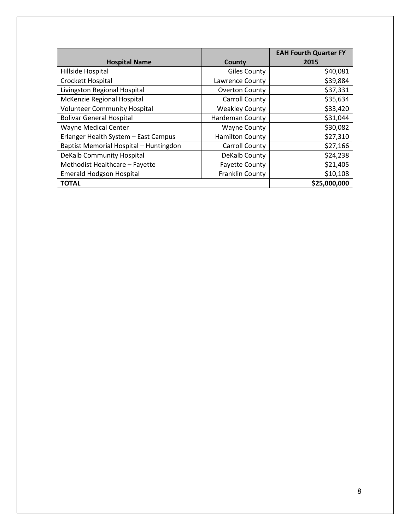|                                        |                        | <b>EAH Fourth Quarter FY</b> |
|----------------------------------------|------------------------|------------------------------|
| <b>Hospital Name</b>                   | County                 | 2015                         |
| Hillside Hospital                      | <b>Giles County</b>    | \$40,081                     |
| Crockett Hospital                      | Lawrence County        | \$39,884                     |
| Livingston Regional Hospital           | <b>Overton County</b>  | \$37,331                     |
| McKenzie Regional Hospital             | <b>Carroll County</b>  | \$35,634                     |
| <b>Volunteer Community Hospital</b>    | <b>Weakley County</b>  | \$33,420                     |
| <b>Bolivar General Hospital</b>        | <b>Hardeman County</b> | \$31,044                     |
| Wayne Medical Center                   | <b>Wayne County</b>    | \$30,082                     |
| Erlanger Health System - East Campus   | <b>Hamilton County</b> | \$27,310                     |
| Baptist Memorial Hospital - Huntingdon | <b>Carroll County</b>  | \$27,166                     |
| DeKalb Community Hospital              | DeKalb County          | \$24,238                     |
| Methodist Healthcare - Fayette         | <b>Fayette County</b>  | \$21,405                     |
| <b>Emerald Hodgson Hospital</b>        | Franklin County        | \$10,108                     |
| <b>TOTAL</b>                           |                        | \$25,000,000                 |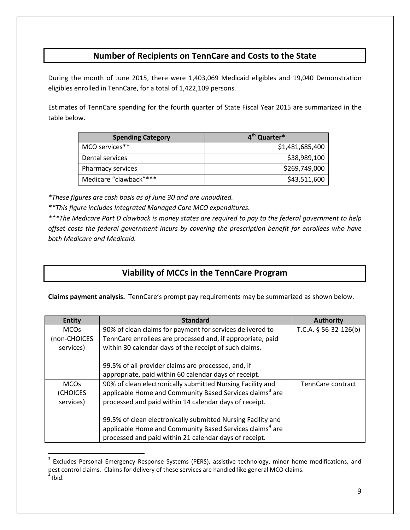## **Number of Recipients on TennCare and Costs to the State**

During the month of June 2015, there were 1,403,069 Medicaid eligibles and 19,040 Demonstration eligibles enrolled in TennCare, for a total of 1,422,109 persons.

Estimates of TennCare spending for the fourth quarter of State Fiscal Year 2015 are summarized in the table below.

| <b>Spending Category</b> | 4 <sup>th</sup> Quarter* |
|--------------------------|--------------------------|
| MCO services**           | \$1,481,685,400          |
| Dental services          | \$38,989,100             |
| Pharmacy services        | \$269,749,000            |
| Medicare "clawback"***   | \$43,511,600             |

*\*These figures are cash basis as of June 30 and are unaudited.*

 $\overline{a}$ 

*\*\*This figure includes Integrated Managed Care MCO expenditures.*

*\*\*\*The Medicare Part D clawback is money states are required to pay to the federal government to help offset costs the federal government incurs by covering the prescription benefit for enrollees who have both Medicare and Medicaid.*

## **Viability of MCCs in the TennCare Program**

**Claims payment analysis.** TennCare's prompt pay requirements may be summarized as shown below.

| <b>Entity</b> | <b>Standard</b>                                                                                                                      | <b>Authority</b>        |
|---------------|--------------------------------------------------------------------------------------------------------------------------------------|-------------------------|
| <b>MCOs</b>   | 90% of clean claims for payment for services delivered to                                                                            | T.C.A. $§$ 56-32-126(b) |
| (non-CHOICES  | TennCare enrollees are processed and, if appropriate, paid                                                                           |                         |
| services)     | within 30 calendar days of the receipt of such claims.                                                                               |                         |
|               | 99.5% of all provider claims are processed, and, if                                                                                  |                         |
|               | appropriate, paid within 60 calendar days of receipt.                                                                                |                         |
|               |                                                                                                                                      |                         |
| <b>MCOs</b>   | 90% of clean electronically submitted Nursing Facility and                                                                           | TennCare contract       |
| (CHOICES      | applicable Home and Community Based Services claims <sup>3</sup> are                                                                 |                         |
| services)     | processed and paid within 14 calendar days of receipt.                                                                               |                         |
|               | 99.5% of clean electronically submitted Nursing Facility and<br>applicable Home and Community Based Services claims <sup>4</sup> are |                         |
|               | processed and paid within 21 calendar days of receipt.                                                                               |                         |

<span id="page-8-1"></span><span id="page-8-0"></span><sup>&</sup>lt;sup>3</sup> Excludes Personal Emergency Response Systems (PERS), assistive technology, minor home modifications, and pest control claims. Claims for delivery of these services are handled like general MCO claims.  $<sup>4</sup>$  Ibid.</sup>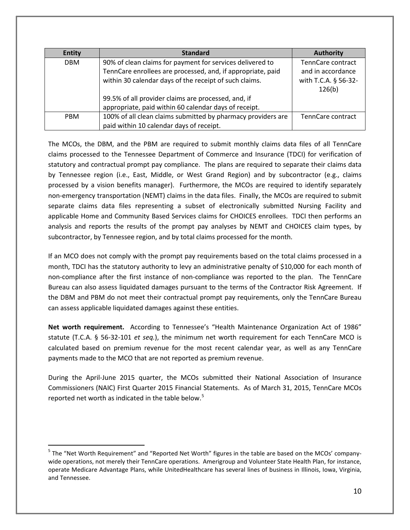| <b>Entity</b> | <b>Standard</b>                                              | <b>Authority</b>     |
|---------------|--------------------------------------------------------------|----------------------|
| <b>DBM</b>    | 90% of clean claims for payment for services delivered to    | TennCare contract    |
|               | TennCare enrollees are processed, and, if appropriate, paid  | and in accordance    |
|               | within 30 calendar days of the receipt of such claims.       | with T.C.A. § 56-32- |
|               |                                                              | 126(b)               |
|               | 99.5% of all provider claims are processed, and, if          |                      |
|               | appropriate, paid within 60 calendar days of receipt.        |                      |
| <b>PBM</b>    | 100% of all clean claims submitted by pharmacy providers are | TennCare contract    |
|               | paid within 10 calendar days of receipt.                     |                      |

The MCOs, the DBM, and the PBM are required to submit monthly claims data files of all TennCare claims processed to the Tennessee Department of Commerce and Insurance (TDCI) for verification of statutory and contractual prompt pay compliance. The plans are required to separate their claims data by Tennessee region (i.e., East, Middle, or West Grand Region) and by subcontractor (e.g., claims processed by a vision benefits manager). Furthermore, the MCOs are required to identify separately non-emergency transportation (NEMT) claims in the data files. Finally, the MCOs are required to submit separate claims data files representing a subset of electronically submitted Nursing Facility and applicable Home and Community Based Services claims for CHOICES enrollees. TDCI then performs an analysis and reports the results of the prompt pay analyses by NEMT and CHOICES claim types, by subcontractor, by Tennessee region, and by total claims processed for the month.

If an MCO does not comply with the prompt pay requirements based on the total claims processed in a month, TDCI has the statutory authority to levy an administrative penalty of \$10,000 for each month of non-compliance after the first instance of non-compliance was reported to the plan. The TennCare Bureau can also assess liquidated damages pursuant to the terms of the Contractor Risk Agreement. If the DBM and PBM do not meet their contractual prompt pay requirements, only the TennCare Bureau can assess applicable liquidated damages against these entities.

**Net worth requirement.** According to Tennessee's "Health Maintenance Organization Act of 1986" statute (T.C.A. § 56-32-101 *et seq.*), the minimum net worth requirement for each TennCare MCO is calculated based on premium revenue for the most recent calendar year, as well as any TennCare payments made to the MCO that are not reported as premium revenue.

During the April-June 2015 quarter, the MCOs submitted their National Association of Insurance Commissioners (NAIC) First Quarter 2015 Financial Statements. As of March 31, 2015, TennCare MCOs reported net worth as indicated in the table below.<sup>[5](#page-9-0)</sup>

 $\overline{a}$ 

<span id="page-9-0"></span><sup>&</sup>lt;sup>5</sup> The "Net Worth Requirement" and "Reported Net Worth" figures in the table are based on the MCOs' companywide operations, not merely their TennCare operations. Amerigroup and Volunteer State Health Plan, for instance, operate Medicare Advantage Plans, while UnitedHealthcare has several lines of business in Illinois, Iowa, Virginia, and Tennessee.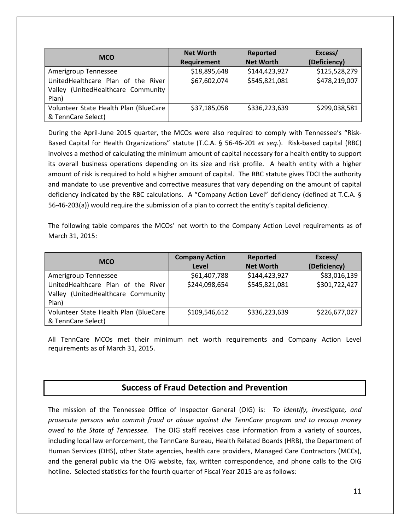| <b>MCO</b>                            | <b>Net Worth</b> | Reported         | Excess/       |
|---------------------------------------|------------------|------------------|---------------|
|                                       | Requirement      | <b>Net Worth</b> | (Deficiency)  |
| Amerigroup Tennessee                  | \$18,895,648     | \$144,423,927    | \$125,528,279 |
| UnitedHealthcare Plan of the River    | \$67,602,074     | \$545,821,081    | \$478,219,007 |
| Valley (UnitedHealthcare Community    |                  |                  |               |
| Plan)                                 |                  |                  |               |
| Volunteer State Health Plan (BlueCare | \$37,185,058     | \$336,223,639    | \$299,038,581 |
| & TennCare Select)                    |                  |                  |               |

During the April-June 2015 quarter, the MCOs were also required to comply with Tennessee's "Risk-Based Capital for Health Organizations" statute (T.C.A. § 56-46-201 *et seq.*). Risk-based capital (RBC) involves a method of calculating the minimum amount of capital necessary for a health entity to support its overall business operations depending on its size and risk profile. A health entity with a higher amount of risk is required to hold a higher amount of capital. The RBC statute gives TDCI the authority and mandate to use preventive and corrective measures that vary depending on the amount of capital deficiency indicated by the RBC calculations. A "Company Action Level" deficiency (defined at T.C.A. § 56-46-203(a)) would require the submission of a plan to correct the entity's capital deficiency.

The following table compares the MCOs' net worth to the Company Action Level requirements as of March 31, 2015:

| <b>MCO</b>                            | <b>Company Action</b> | Reported         | Excess/       |
|---------------------------------------|-----------------------|------------------|---------------|
|                                       | Level                 | <b>Net Worth</b> | (Deficiency)  |
| Amerigroup Tennessee                  | \$61,407,788          | \$144,423,927    | \$83,016,139  |
| UnitedHealthcare Plan of the River    | \$244,098,654         | \$545,821,081    | \$301,722,427 |
| Valley (UnitedHealthcare Community    |                       |                  |               |
| Plan)                                 |                       |                  |               |
| Volunteer State Health Plan (BlueCare | \$109,546,612         | \$336,223,639    | \$226,677,027 |
| & TennCare Select)                    |                       |                  |               |

All TennCare MCOs met their minimum net worth requirements and Company Action Level requirements as of March 31, 2015.

## **Success of Fraud Detection and Prevention**

The mission of the Tennessee Office of Inspector General (OIG) is: *To identify, investigate, and prosecute persons who commit fraud or abuse against the TennCare program and to recoup money owed to the State of Tennessee.* The OIG staff receives case information from a variety of sources, including local law enforcement, the TennCare Bureau, Health Related Boards (HRB), the Department of Human Services (DHS), other State agencies, health care providers, Managed Care Contractors (MCCs), and the general public via the OIG website, fax, written correspondence, and phone calls to the OIG hotline. Selected statistics for the fourth quarter of Fiscal Year 2015 are as follows: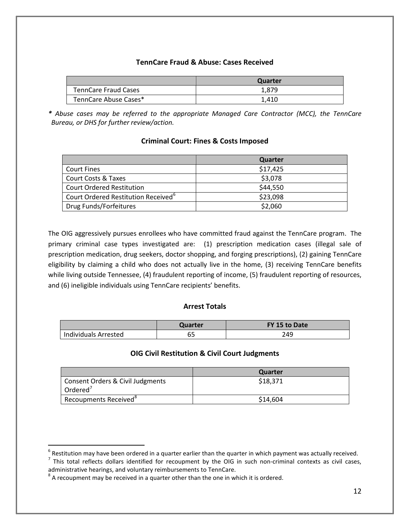## **TennCare Fraud & Abuse: Cases Received**

|                             | Quarter |
|-----------------------------|---------|
| <b>TennCare Fraud Cases</b> | 1.879   |
| TennCare Abuse Cases*       | 1,410   |

*\* Abuse cases may be referred to the appropriate Managed Care Contractor (MCC), the TennCare Bureau, or DHS for further review/action.*

## **Criminal Court: Fines & Costs Imposed**

|                                                 | Quarter  |
|-------------------------------------------------|----------|
| <b>Court Fines</b>                              | \$17,425 |
| <b>Court Costs &amp; Taxes</b>                  | \$3,078  |
| <b>Court Ordered Restitution</b>                | \$44,550 |
| Court Ordered Restitution Received <sup>6</sup> | \$23,098 |
| Drug Funds/Forfeitures                          | \$2,060  |

The OIG aggressively pursues enrollees who have committed fraud against the TennCare program. The primary criminal case types investigated are: (1) prescription medication cases (illegal sale of prescription medication, drug seekers, doctor shopping, and forging prescriptions), (2) gaining TennCare eligibility by claiming a child who does not actually live in the home, (3) receiving TennCare benefits while living outside Tennessee, (4) fraudulent reporting of income, (5) fraudulent reporting of resources, and (6) ineligible individuals using TennCare recipients' benefits.

## **Arrest Totals**

|                      | Quarter | FY 15 to Date |
|----------------------|---------|---------------|
| Individuals Arrested | ບ       | 249           |

## **OIG Civil Restitution & Civil Court Judgments**

|                                                          | Quarter  |
|----------------------------------------------------------|----------|
| Consent Orders & Civil Judgments<br>Ordered <sup>7</sup> | \$18,371 |
| Recoupments Received <sup>8</sup>                        | \$14,604 |

 $\overline{a}$ 

<span id="page-11-0"></span> $6$  Restitution may have been ordered in a quarter earlier than the quarter in which payment was actually received.

<span id="page-11-1"></span> $<sup>7</sup>$  This total reflects dollars identified for recoupment by the OIG in such non-criminal contexts as civil cases,</sup> administrative hearings, and voluntary reimbursements to TennCare.

<span id="page-11-2"></span> $8$  A recoupment may be received in a quarter other than the one in which it is ordered.